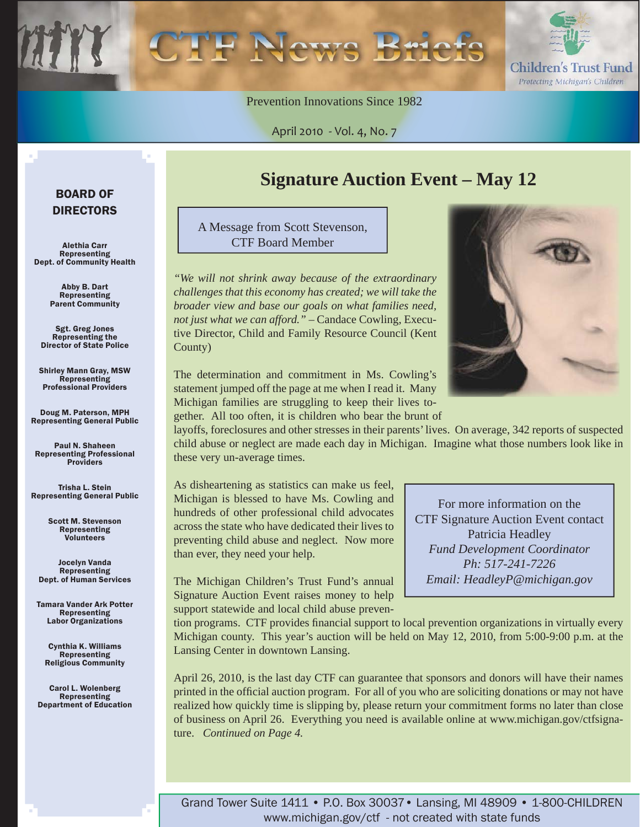Prevention Innovations Since 1982

April 2010 - Vol. 4, No. 7

#### BOARD OF DIRECTORS

Alethia Carr Representing Dept. of Community Health

> Abby B. Dart Representing Parent Community

Sgt. Greg Jones Representing the Director of State Police

Shirley Mann Gray, MSW **Representing** Professional Providers

Doug M. Paterson, MPH Representing General Public

Paul N. Shaheen Representing Professional Providers

Trisha L. Stein Representing General Public

> Scott M. Stevenson Representing **Volunteers**

Jocelyn Vanda Representing Dept. of Human Services

Tamara Vander Ark Potter Representing Labor Organizations

Cynthia K. Williams Representing Religious Community

Carol L. Wolenberg Representing Department of Education

## **Signature Auction Event – May 12**

A Message from Scott Stevenson, CTF Board Member

*"We will not shrink away because of the extraordinary challenges that this economy has created; we will take the broader view and base our goals on what families need, not just what we can afford."* – Candace Cowling, Executive Director, Child and Family Resource Council (Kent County)



Children's Trust Fund Protecting Michigan's Children

For more information on the CTF Signature Auction Event contact Patricia Headley *Fund Development Coordinator Ph: 517-241-7226 Email: HeadleyP@michigan.gov*

The determination and commitment in Ms. Cowling's statement jumped off the page at me when I read it. Many Michigan families are struggling to keep their lives together. All too often, it is children who bear the brunt of

layoffs, foreclosures and other stresses in their parents' lives. On average, 342 reports of suspected child abuse or neglect are made each day in Michigan. Imagine what those numbers look like in these very un-average times.

As disheartening as statistics can make us feel, Michigan is blessed to have Ms. Cowling and hundreds of other professional child advocates across the state who have dedicated their lives to preventing child abuse and neglect. Now more than ever, they need your help.

The Michigan Children's Trust Fund's annual Signature Auction Event raises money to help support statewide and local child abuse preven-

tion programs. CTF provides financial support to local prevention organizations in virtually every Michigan county. This year's auction will be held on May 12, 2010, from 5:00-9:00 p.m. at the Lansing Center in downtown Lansing.

April 26, 2010, is the last day CTF can guarantee that sponsors and donors will have their names printed in the official auction program. For all of you who are soliciting donations or may not have realized how quickly time is slipping by, please return your commitment forms no later than close of business on April 26. Everything you need is available online at www.michigan.gov/ctfsignature. *Continued on Page 4.*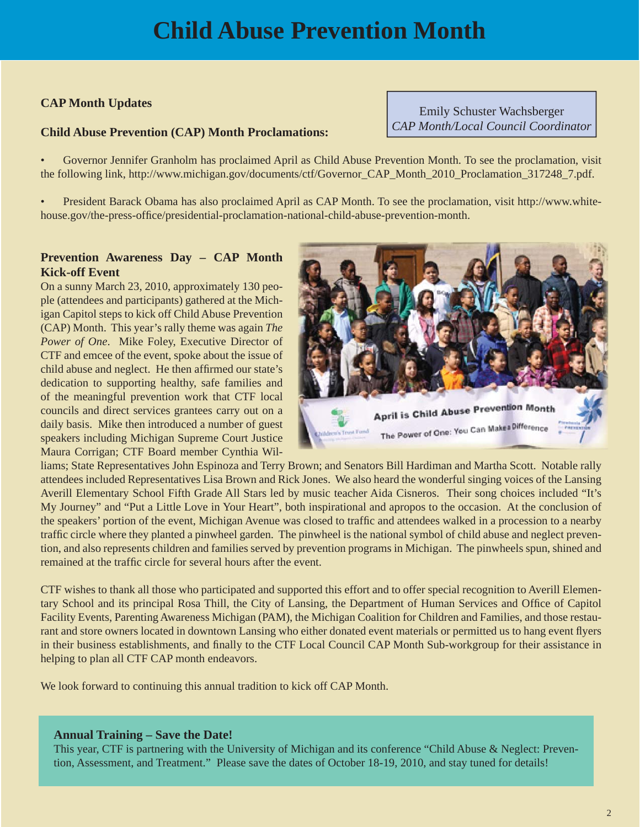#### **CAP Month Updates**

#### **Child Abuse Prevention (CAP) Month Proclamations:**

Emily Schuster Wachsberger *CAP Month/Local Council Coordinator*

• Governor Jennifer Granholm has proclaimed April as Child Abuse Prevention Month. To see the proclamation, visit the following link, http://www.michigan.gov/documents/ctf/Governor\_CAP\_Month\_2010\_Proclamation\_317248\_7.pdf.

[• President Barack Obama has also proclaimed April as CAP Month. To see the proclamation, visit http://www.white](www.whitehouse.gov/the-press-office/presidential-proclamation-national-child-abuse-prevention-month)house.gov/the-press-office/presidential-proclamation-national-child-abuse-prevention-month.

#### **Prevention Awareness Day – CAP Month Kick-off Event**

On a sunny March 23, 2010, approximately 130 people (attendees and participants) gathered at the Michigan Capitol steps to kick off Child Abuse Prevention (CAP) Month. This year's rally theme was again *The Power of One*. Mike Foley, Executive Director of CTF and emcee of the event, spoke about the issue of child abuse and neglect. He then affirmed our state's dedication to supporting healthy, safe families and of the meaningful prevention work that CTF local councils and direct services grantees carry out on a daily basis. Mike then introduced a number of guest speakers including Michigan Supreme Court Justice Maura Corrigan; CTF Board member Cynthia Wil-



liams; State Representatives John Espinoza and Terry Brown; and Senators Bill Hardiman and Martha Scott. Notable rally attendees included Representatives Lisa Brown and Rick Jones. We also heard the wonderful singing voices of the Lansing Averill Elementary School Fifth Grade All Stars led by music teacher Aida Cisneros. Their song choices included "It's My Journey" and "Put a Little Love in Your Heart", both inspirational and apropos to the occasion. At the conclusion of the speakers' portion of the event, Michigan Avenue was closed to traffic and attendees walked in a procession to a nearby traffic circle where they planted a pinwheel garden. The pinwheel is the national symbol of child abuse and neglect prevention, and also represents children and families served by prevention programs in Michigan. The pinwheels spun, shined and remained at the traffic circle for several hours after the event.

CTF wishes to thank all those who participated and supported this effort and to offer special recognition to Averill Elementary School and its principal Rosa Thill, the City of Lansing, the Department of Human Services and Office of Capitol Facility Events, Parenting Awareness Michigan (PAM), the Michigan Coalition for Children and Families, and those restaurant and store owners located in downtown Lansing who either donated event materials or permitted us to hang event flyers in their business establishments, and finally to the CTF Local Council CAP Month Sub-workgroup for their assistance in helping to plan all CTF CAP month endeavors.

We look forward to continuing this annual tradition to kick off CAP Month.

#### **Annual Training – Save the Date!**

This year, CTF is partnering with the University of Michigan and its conference "Child Abuse & Neglect: Prevention, Assessment, and Treatment." Please save the dates of October 18-19, 2010, and stay tuned for details!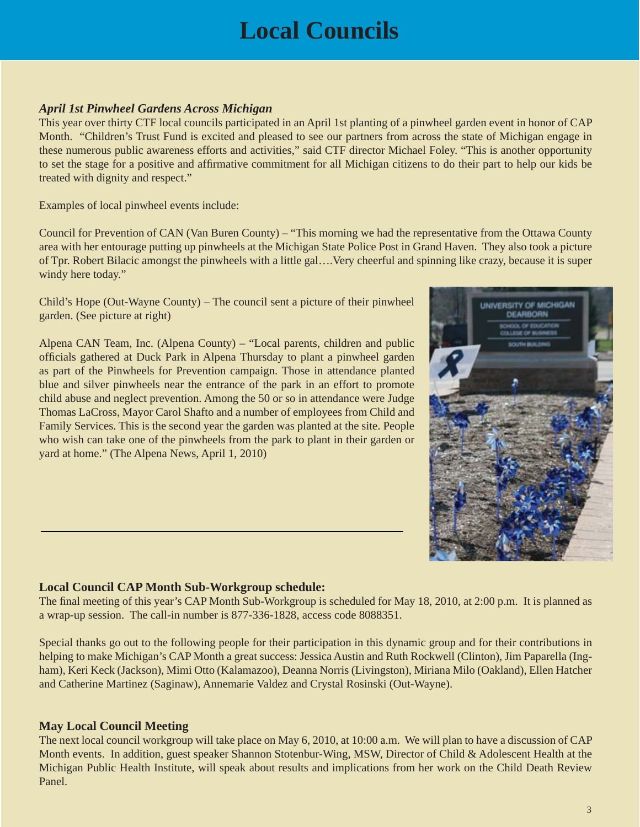# **Local Councils**

#### *April 1st Pinwheel Gardens Across Michigan*

This year over thirty CTF local councils participated in an April 1st planting of a pinwheel garden event in honor of CAP Month. "Children's Trust Fund is excited and pleased to see our partners from across the state of Michigan engage in these numerous public awareness efforts and activities," said CTF director Michael Foley. "This is another opportunity to set the stage for a positive and affirmative commitment for all Michigan citizens to do their part to help our kids be treated with dignity and respect."

Examples of local pinwheel events include:

Council for Prevention of CAN (Van Buren County) – "This morning we had the representative from the Ottawa County area with her entourage putting up pinwheels at the Michigan State Police Post in Grand Haven. They also took a picture of Tpr. Robert Bilacic amongst the pinwheels with a little gal….Very cheerful and spinning like crazy, because it is super windy here today."

Child's Hope (Out-Wayne County) – The council sent a picture of their pinwheel garden. (See picture at right)

Alpena CAN Team, Inc. (Alpena County) – "Local parents, children and public officials gathered at Duck Park in Alpena Thursday to plant a pinwheel garden as part of the Pinwheels for Prevention campaign. Those in attendance planted blue and silver pinwheels near the entrance of the park in an effort to promote child abuse and neglect prevention. Among the 50 or so in attendance were Judge Thomas LaCross, Mayor Carol Shafto and a number of employees from Child and Family Services. This is the second year the garden was planted at the site. People who wish can take one of the pinwheels from the park to plant in their garden or yard at home." (The Alpena News, April 1, 2010)



#### **Local Council CAP Month Sub-Workgroup schedule:**

The final meeting of this year's CAP Month Sub-Workgroup is scheduled for May 18, 2010, at 2:00 p.m. It is planned as a wrap-up session. The call-in number is 877-336-1828, access code 8088351.

Special thanks go out to the following people for their participation in this dynamic group and for their contributions in helping to make Michigan's CAP Month a great success: Jessica Austin and Ruth Rockwell (Clinton), Jim Paparella (Ingham), Keri Keck (Jackson), Mimi Otto (Kalamazoo), Deanna Norris (Livingston), Miriana Milo (Oakland), Ellen Hatcher and Catherine Martinez (Saginaw), Annemarie Valdez and Crystal Rosinski (Out-Wayne).

#### **May Local Council Meeting**

The next local council workgroup will take place on May 6, 2010, at 10:00 a.m. We will plan to have a discussion of CAP Month events. In addition, guest speaker Shannon Stotenbur-Wing, MSW, Director of Child & Adolescent Health at the Michigan Public Health Institute, will speak about results and implications from her work on the Child Death Review Panel.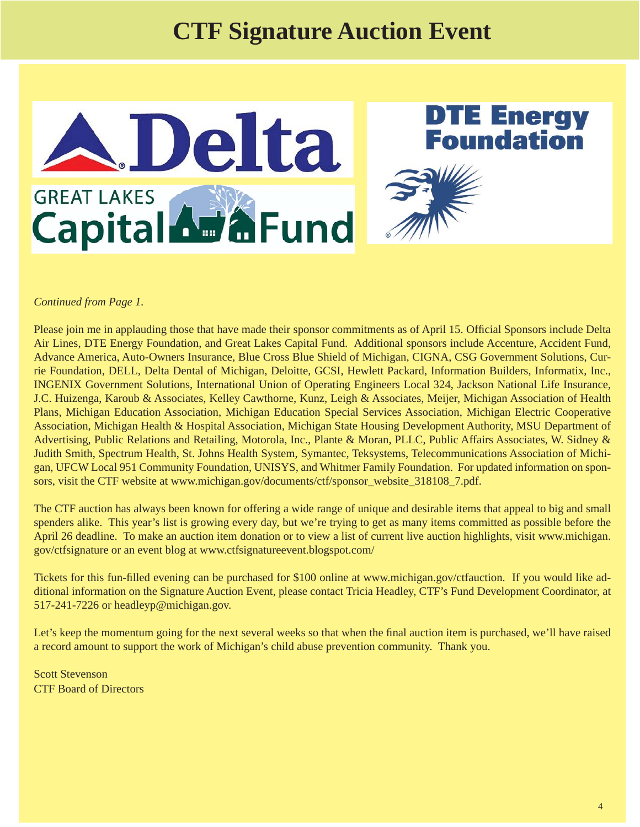## **CTF Signature Auction Event**



#### *Continued from Page 1.*

Please join me in applauding those that have made their sponsor commitments as of April 15. Official Sponsors include Delta Air Lines, DTE Energy Foundation, and Great Lakes Capital Fund. Additional sponsors include Accenture, Accident Fund, Advance America, Auto-Owners Insurance, Blue Cross Blue Shield of Michigan, CIGNA, CSG Government Solutions, Currie Foundation, DELL, Delta Dental of Michigan, Deloitte, GCSI, Hewlett Packard, Information Builders, Informatix, Inc., INGENIX Government Solutions, International Union of Operating Engineers Local 324, Jackson National Life Insurance, J.C. Huizenga, Karoub & Associates, Kelley Cawthorne, Kunz, Leigh & Associates, Meijer, Michigan Association of Health Plans, Michigan Education Association, Michigan Education Special Services Association, Michigan Electric Cooperative Association, Michigan Health & Hospital Association, Michigan State Housing Development Authority, MSU Department of Advertising, Public Relations and Retailing, Motorola, Inc., Plante & Moran, PLLC, Public Affairs Associates, W. Sidney & Judith Smith, Spectrum Health, St. Johns Health System, Symantec, Teksystems, Telecommunications Association of Michigan, UFCW Local 951 Community Foundation, UNISYS, and Whitmer Family Foundation. For updated information on sponsors, visit the CTF website at www.michigan.gov/documents/ctf/sponsor\_website\_318108\_7.pdf.

The CTF auction has always been known for offering a wide range of unique and desirable items that appeal to big and small spenders alike. This year's list is growing every day, but we're trying to get as many items committed as possible before the April 26 deadline. To make an auction item donation or to view a list of current live auction highlights, visit [www.michigan.](www.michigan.gov/ctfsignature) [gov/ctfsignature](www.michigan.gov/ctfsignature) or an event blog at www.ctfsignatureevent.blogspot.com/

Tickets for this fun-filled evening can be purchased for \$100 online at www.michigan.gov/ctfauction. If you would like additional information on the Signature Auction Event, please contact Tricia Headley, CTF's Fund Development Coordinator, at 517-241-7226 or headleyp@michigan.gov.

Let's keep the momentum going for the next several weeks so that when the final auction item is purchased, we'll have raised a record amount to support the work of Michigan's child abuse prevention community. Thank you.

Scott Stevenson CTF Board of Directors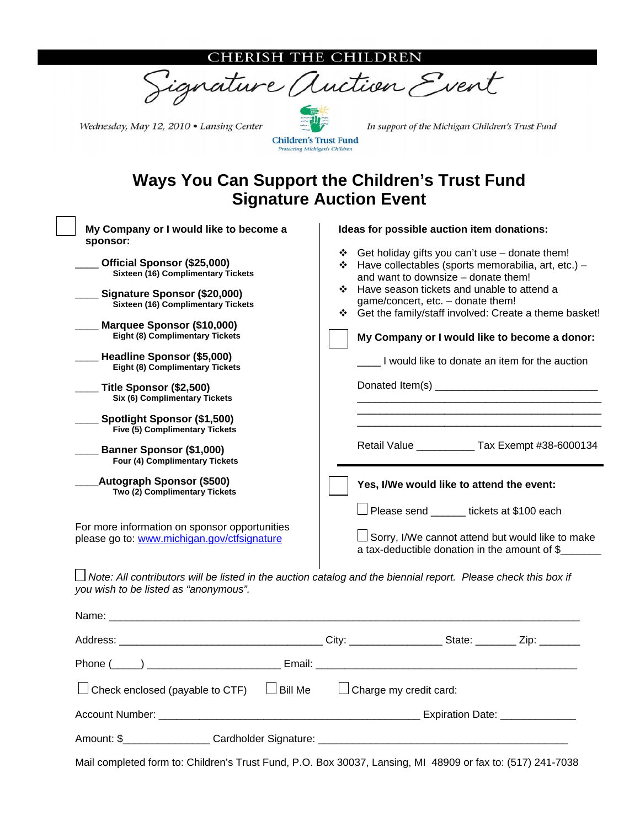#### ERISH THE CHILDREN



Wednesday, May 12, 2010 . Lansing Center

**Children's Trust Fund** rotecting Michigan's Children

In support of the Michigan Children's Trust Fund

## **Ways You Can Support the Children's Trust Fund Signature Auction Event**

| My Company or I would like to become a<br>sponsor:                                           | Ideas for possible auction item donations:                                                                                                       |
|----------------------------------------------------------------------------------------------|--------------------------------------------------------------------------------------------------------------------------------------------------|
| Official Sponsor (\$25,000)<br><b>Sixteen (16) Complimentary Tickets</b>                     | ❖ Get holiday gifts you can't use – donate them!<br>❖ Have collectables (sports memorabilia, art, etc.) -<br>and want to downsize – donate them! |
| Signature Sponsor (\$20,000)<br>Sixteen (16) Complimentary Tickets                           | ❖ Have season tickets and unable to attend a<br>game/concert, etc. - donate them!<br>❖ Get the family/staff involved: Create a theme basket!     |
| Marquee Sponsor (\$10,000)<br><b>Eight (8) Complimentary Tickets</b>                         | My Company or I would like to become a donor:                                                                                                    |
| Headline Sponsor (\$5,000)<br><b>Eight (8) Complimentary Tickets</b>                         | I would like to donate an item for the auction                                                                                                   |
| Title Sponsor (\$2,500)<br>Six (6) Complimentary Tickets                                     |                                                                                                                                                  |
| Spotlight Sponsor (\$1,500)<br><b>Five (5) Complimentary Tickets</b>                         |                                                                                                                                                  |
| <b>Banner Sponsor (\$1,000)</b><br>Four (4) Complimentary Tickets                            | Retail Value _____________ Tax Exempt #38-6000134                                                                                                |
| <b>Autograph Sponsor (\$500)</b><br>Two (2) Complimentary Tickets                            | Yes, I/We would like to attend the event:                                                                                                        |
|                                                                                              | $\Box$ Please send ______ tickets at \$100 each                                                                                                  |
| For more information on sponsor opportunities<br>please go to: www.michigan.gov/ctfsignature | $\Box$ Sorry, I/We cannot attend but would like to make<br>a tax-deductible donation in the amount of \$                                         |
| you wish to be listed as "anonymous".                                                        | Note: All contributors will be listed in the auction catalog and the biennial report. Please check this box if                                   |

| $\Box$ Check enclosed (payable to CTF) $\Box$ Bill Me | $\Box$ Charge my credit card: |  |
|-------------------------------------------------------|-------------------------------|--|
|                                                       |                               |  |
|                                                       |                               |  |

Mail completed form to: Children's Trust Fund, P.O. Box 30037, Lansing, MI 48909 or fax to: (517) 241-7038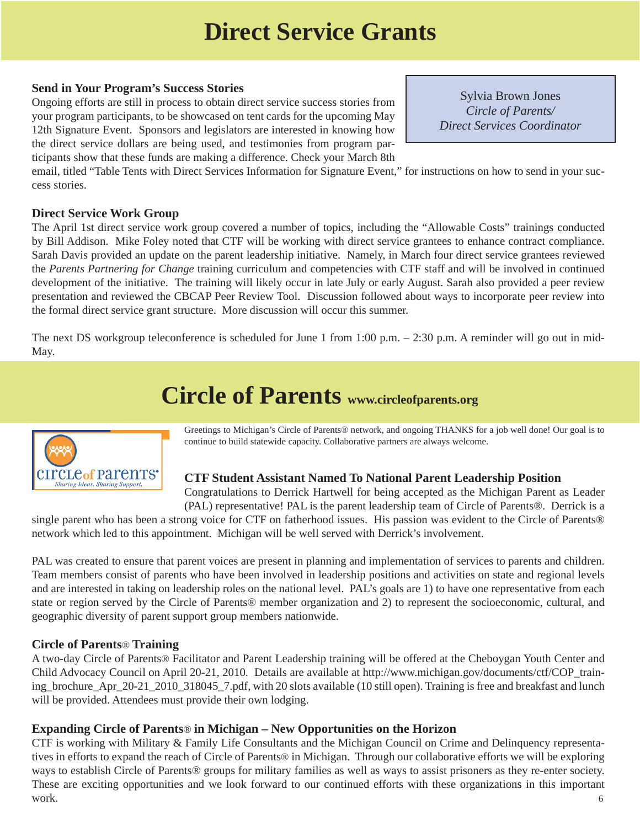## **Direct Service Grants**

#### **Send in Your Program's Success Stories**

Ongoing efforts are still in process to obtain direct service success stories from your program participants, to be showcased on tent cards for the upcoming May 12th Signature Event. Sponsors and legislators are interested in knowing how the direct service dollars are being used, and testimonies from program participants show that these funds are making a difference. Check your March 8th

Sylvia Brown Jones *Circle of Parents/ Direct Services Coordinator*

email, titled "Table Tents with Direct Services Information for Signature Event," for instructions on how to send in your success stories.

#### **Direct Service Work Group**

The April 1st direct service work group covered a number of topics, including the "Allowable Costs" trainings conducted by Bill Addison. Mike Foley noted that CTF will be working with direct service grantees to enhance contract compliance. Sarah Davis provided an update on the parent leadership initiative. Namely, in March four direct service grantees reviewed the *Parents Partnering for Change* training curriculum and competencies with CTF staff and will be involved in continued development of the initiative. The training will likely occur in late July or early August. Sarah also provided a peer review presentation and reviewed the CBCAP Peer Review Tool. Discussion followed about ways to incorporate peer review into the formal direct service grant structure. More discussion will occur this summer.

The next DS workgroup teleconference is scheduled for June 1 from 1:00 p.m. – 2:30 p.m. A reminder will go out in mid-May.

## **Circle of Parents www.circleofparents.org**



Greetings to Michigan's Circle of Parents® network, and ongoing THANKS for a job well done! Our goal is to continue to build statewide capacity. Collaborative partners are always welcome.

#### **CTF Student Assistant Named To National Parent Leadership Position**

Congratulations to Derrick Hartwell for being accepted as the Michigan Parent as Leader (PAL) representative! PAL is the parent leadership team of Circle of Parents®. Derrick is a

single parent who has been a strong voice for CTF on fatherhood issues. His passion was evident to the Circle of Parents® network which led to this appointment. Michigan will be well served with Derrick's involvement.

PAL was created to ensure that parent voices are present in planning and implementation of services to parents and children. Team members consist of parents who have been involved in leadership positions and activities on state and regional levels and are interested in taking on leadership roles on the national level. PAL's goals are 1) to have one representative from each state or region served by the Circle of Parents® member organization and 2) to represent the socioeconomic, cultural, and geographic diversity of parent support group members nationwide.

#### **Circle of Parents**® **Training**

A two-day Circle of Parents® Facilitator and Parent Leadership training will be offered at the Cheboygan Youth Center and Child Advocacy Council on April 20-21, 2010. Details are available at http://www.michigan.gov/documents/ctf/COP\_train[ing\\_brochure\\_Apr\\_20-21\\_2010\\_318045\\_7.pdf, with 20 slots available \(10 still open\). Training is free and breakfast and lunch](www.michigan.gov/documents/ctf/COP_training_brochure_Apr_20-21_2010_318045_7.pdf)  will be provided. Attendees must provide their own lodging.

#### **Expanding Circle of Parents**® **in Michigan – New Opportunities on the Horizon**

CTF is working with Military & Family Life Consultants and the Michigan Council on Crime and Delinquency representatives in efforts to expand the reach of Circle of Parents® in Michigan. Through our collaborative efforts we will be exploring ways to establish Circle of Parents® groups for military families as well as ways to assist prisoners as they re-enter society. These are exciting opportunities and we look forward to our continued efforts with these organizations in this important work.  $\qquad \qquad 6$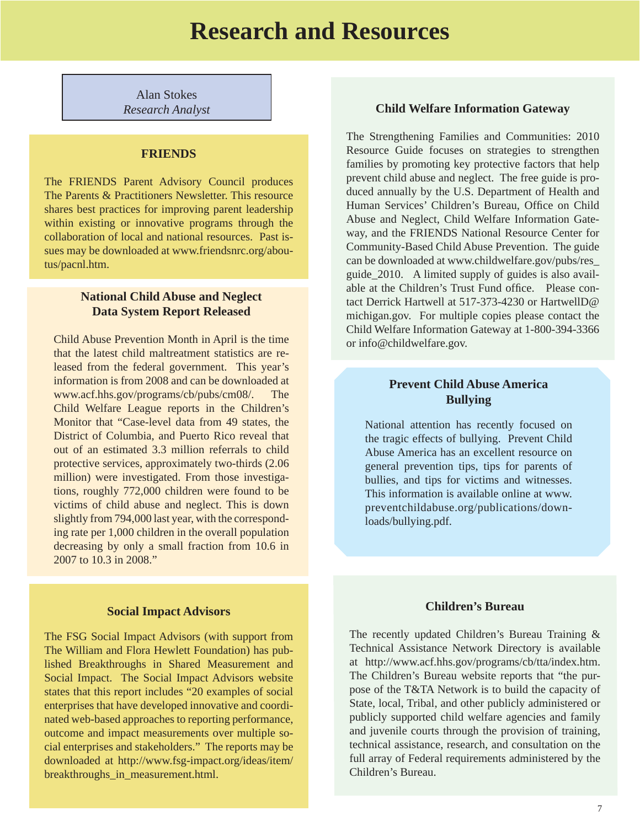Alan Stokes

#### **FRIENDS**

The FRIENDS Parent Advisory Council produces The Parents & Practitioners Newsletter. This resource shares best practices for improving parent leadership within existing or innovative programs through the collaboration of local and national resources. Past is[sues may be downloaded at www.friendsnrc.org/abou](www.friendsnrc.org/aboutus/pacnl.htm)tus/pacnl.htm.

#### **National Child Abuse and Neglect Data System Report Released**

Child Abuse Prevention Month in April is the time that the latest child maltreatment statistics are released from the federal government. This year's information is from 2008 and can be downloaded at www.acf.hhs.gov/programs/cb/pubs/cm08/. The Child Welfare League reports in the Children's Monitor that "Case-level data from 49 states, the District of Columbia, and Puerto Rico reveal that out of an estimated 3.3 million referrals to child protective services, approximately two-thirds (2.06 million) were investigated. From those investigations, roughly 772,000 children were found to be victims of child abuse and neglect. This is down slightly from 794,000 last year, with the corresponding rate per 1,000 children in the overall population decreasing by only a small fraction from 10.6 in 2007 to 10.3 in 2008."

#### **Social Impact Advisors**

The FSG Social Impact Advisors (with support from The William and Flora Hewlett Foundation) has published Breakthroughs in Shared Measurement and Social Impact. The Social Impact Advisors website states that this report includes "20 examples of social enterprises that have developed innovative and coordinated web-based approaches to reporting performance, outcome and impact measurements over multiple so[cial enterprises and stakeholders." The reports may be](www.preventchildabuse.org/publications/downloads/bullying.pdf)  [downloaded at http://www.fsg-impact.org/ideas/item/](http://www.fsg-impact.org/ideas/item/breakthroughs_in_measurement.html) breakthroughs\_in\_measurement.html.

#### *Research Analyst* **Child Welfare Information Gateway**

The Strengthening Families and Communities: 2010 Resource Guide focuses on strategies to strengthen families by promoting key protective factors that help prevent child abuse and neglect. The free guide is produced annually by the U.S. Department of Health and Human Services' Children's Bureau, Office on Child Abuse and Neglect, Child Welfare Information Gateway, and the FRIENDS National Resource Center for Community-Based Child Abuse Prevention. The guide can be downloaded at www.childwelfare.gov/pubs/res\_ guide\_2010. A limited supply of guides is also available at the Children's Trust Fund office. Please contact Derrick Hartwell at 517-373-4230 or HartwellD@ michigan.gov. For multiple copies please contact the Child Welfare Information Gateway at 1-800-394-3366 or info@childwelfare.gov.

#### **Prevent Child Abuse America Bullying**

National attention has recently focused on the tragic effects of bullying. Prevent Child Abuse America has an excellent resource on general prevention tips, tips for parents of bullies, and tips for victims and witnesses. This information is available online at www. preventchildabuse.org/publications/downloads/bullying.pdf.

#### **Children's Bureau**

The recently updated Children's Bureau Training & Technical Assistance Network Directory is available at http://www.acf.hhs.gov/programs/cb/tta/index.htm. The Children's Bureau website reports that "the purpose of the T&TA Network is to build the capacity of State, local, Tribal, and other publicly administered or publicly supported child welfare agencies and family and juvenile courts through the provision of training, technical assistance, research, and consultation on the full array of Federal requirements administered by the Children's Bureau.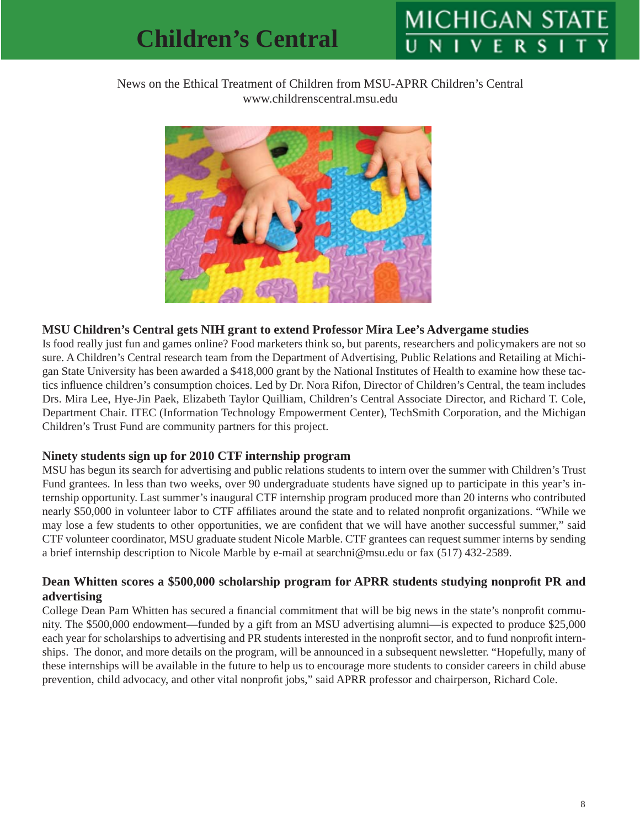# **MICHIGAN ST**

#### News on the Ethical Treatment of Children from MSU-APRR Children's Central www.childrenscentral.msu.edu



#### **MSU Children's Central gets NIH grant to extend Professor Mira Lee's Advergame studies**

Is food really just fun and games online? Food marketers think so, but parents, researchers and policymakers are not so sure. A Children's Central research team from the Department of Advertising, Public Relations and Retailing at Michigan State University has been awarded a \$418,000 grant by the National Institutes of Health to examine how these tactics influence children's consumption choices. Led by Dr. Nora Rifon, Director of Children's Central, the team includes Drs. Mira Lee, Hye-Jin Paek, Elizabeth Taylor Quilliam, Children's Central Associate Director, and Richard T. Cole, Department Chair. ITEC (Information Technology Empowerment Center), TechSmith Corporation, and the Michigan Children's Trust Fund are community partners for this project.

#### **Ninety students sign up for 2010 CTF internship program**

MSU has begun its search for advertising and public relations students to intern over the summer with Children's Trust Fund grantees. In less than two weeks, over 90 undergraduate students have signed up to participate in this year's internship opportunity. Last summer's inaugural CTF internship program produced more than 20 interns who contributed nearly \$50,000 in volunteer labor to CTF affiliates around the state and to related nonprofit organizations. "While we may lose a few students to other opportunities, we are confident that we will have another successful summer," said CTF volunteer coordinator, MSU graduate student Nicole Marble. CTF grantees can request summer interns by sending a brief internship description to Nicole Marble by e-mail at searchni@msu.edu or fax (517) 432-2589.

#### **Dean Whitten scores a \$500,000 scholarship program for APRR students studying nonprofit PR and advertising**

College Dean Pam Whitten has secured a financial commitment that will be big news in the state's nonprofit community. The \$500,000 endowment—funded by a gift from an MSU advertising alumni—is expected to produce \$25,000 each year for scholarships to advertising and PR students interested in the nonprofit sector, and to fund nonprofit internships. The donor, and more details on the program, will be announced in a subsequent newsletter. "Hopefully, many of these internships will be available in the future to help us to encourage more students to consider careers in child abuse prevention, child advocacy, and other vital nonprofit jobs," said APRR professor and chairperson, Richard Cole.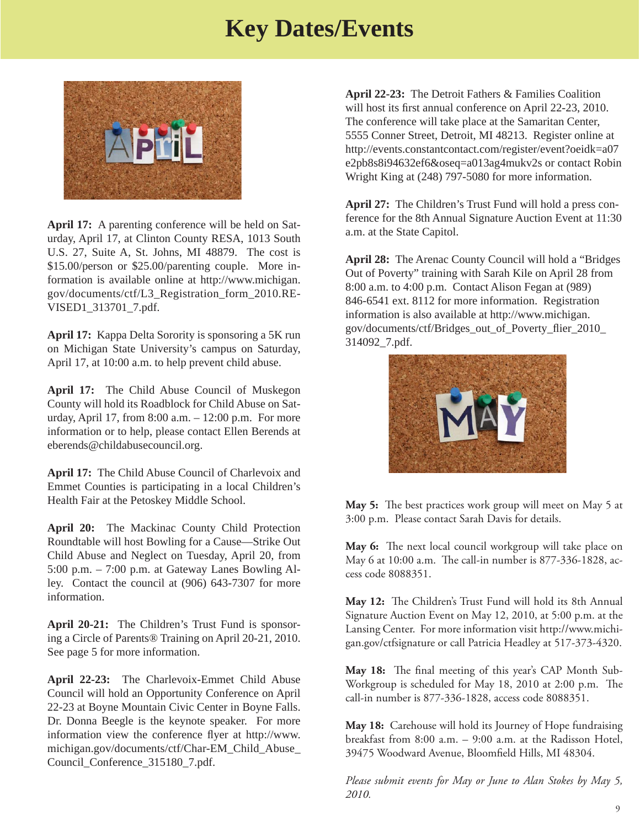## **Key Dates/Events**



**April 17:** A parenting conference will be held on Saturday, April 17, at Clinton County RESA, 1013 South U.S. 27, Suite A, St. Johns, MI 48879. The cost is \$15.00/person or \$25.00/parenting couple. More in[formation is available online at http://www.michigan.](www.michigan.gov/documents/ctf/L3_Registration_form_2010.REVISED1_313701_7.pdf) gov/documents/ctf/L3\_Registration\_form\_2010.RE-VISED1\_313701\_7.pdf.

**April 17:** Kappa Delta Sorority is sponsoring a 5K run on Michigan State University's campus on Saturday, April 17, at 10:00 a.m. to help prevent child abuse.

**April 17:** The Child Abuse Council of Muskegon County will hold its Roadblock for Child Abuse on Saturday, April 17, from 8:00 a.m. – 12:00 p.m. For more information or to help, please contact Ellen Berends at eberends@childabusecouncil.org.

**April 17:** The Child Abuse Council of Charlevoix and Emmet Counties is participating in a local Children's Health Fair at the Petoskey Middle School.

**April 20:** The Mackinac County Child Protection Roundtable will host Bowling for a Cause—Strike Out Child Abuse and Neglect on Tuesday, April 20, from 5:00 p.m. – 7:00 p.m. at Gateway Lanes Bowling Alley. Contact the council at (906) 643-7307 for more information.

**April 20-21:** The Children's Trust Fund is sponsoring a Circle of Parents® Training on April 20-21, 2010. See page 5 for more information.

**April 22-23:** The Charlevoix-Emmet Child Abuse Council will hold an Opportunity Conference on April 22-23 at Boyne Mountain Civic Center in Boyne Falls. Dr. Donna Beegle is the keynote speaker. For more information view the conference flyer at http://www. [michigan.gov/documents/ctf/Char-EM\\_Child\\_Abuse\\_](www.michigan.gov/documents/ctf/Char-EM_Child_Abuse_Council_Conference_315180_7.pdf) Council\_Conference\_315180\_7.pdf.

**April 22-23:** The Detroit Fathers & Families Coalition will host its first annual conference on April 22-23, 2010. The conference will take place at the Samaritan Center, 5555 Conner Street, Detroit, MI 48213. Register online at [http://events.constantcontact.com/register/event?oeidk=a07](http://events.constantcontact.com/register/event?oeidk=a07e2pb8s8i94632ef6&oseq=a013ag4mukv2s) e2pb8s8i94632ef6&oseq=a013ag4mukv2s or contact Robin Wright King at (248) 797-5080 for more information.

**April 27:** The Children's Trust Fund will hold a press conference for the 8th Annual Signature Auction Event at 11:30 a.m. at the State Capitol.

**April 28:** The Arenac County Council will hold a "Bridges Out of Poverty" training with Sarah Kile on April 28 from 8:00 a.m. to 4:00 p.m. Contact Alison Fegan at (989) 846-6541 ext. 8112 for more information. Registration [information is also available at http://www.michigan.](http://www.michigan.gov/documents/ctf/Bridges_out_of_Poverty_flier_2010_314092_7.pdf) gov/documents/ctf/Bridges\_out\_of\_Poverty\_fl ier\_2010\_ 314092\_7.pdf.



**May 5:** The best practices work group will meet on May 5 at 3:00 p.m. Please contact Sarah Davis for details.

May 6: The next local council workgroup will take place on May 6 at 10:00 a.m. The call-in number is 877-336-1828, access code 8088351.

May 12: The Children's Trust Fund will hold its 8th Annual Signature Auction Event on May 12, 2010, at 5:00 p.m. at the Lansing Center. For more information visit http://www.michi[gan.gov/ctfsignature or call Patricia Headley at 517-373-4320.](www.michigan.gov/ctfsignature) 

May 18: The final meeting of this year's CAP Month Sub-Workgroup is scheduled for May 18, 2010 at 2:00 p.m. The call-in number is 877-336-1828, access code 8088351.

**May 18:** Carehouse will hold its Journey of Hope fundraising breakfast from 8:00 a.m. – 9:00 a.m. at the Radisson Hotel, 39475 Woodward Avenue, Bloomfield Hills, MI 48304.

*Please submit events for May or June to Alan Stokes by May 5, 2010.*